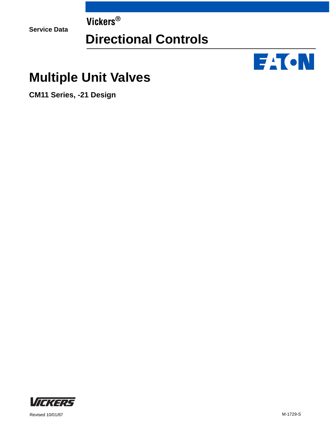**Service Data**

**Directional Controls**

# **EACN**

## **Multiple Unit Valves**

**Vickers®**

**CM11 Series, -21 Design**



Revised 10/01/87 M-1729-S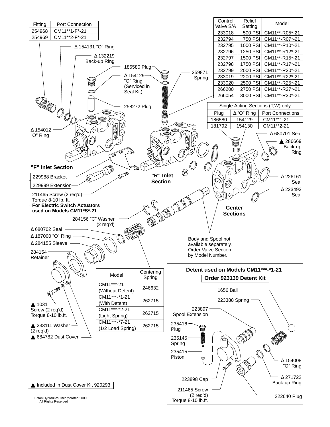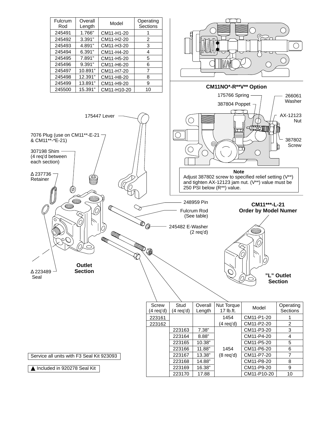|                                                                                                                                                                                                  | Fulcrum<br>Rod                            | Overall<br>Length | Model                    | Operating<br>Sections        |                             |                                                                 |                                |                                                                                                                           |                                    |
|--------------------------------------------------------------------------------------------------------------------------------------------------------------------------------------------------|-------------------------------------------|-------------------|--------------------------|------------------------------|-----------------------------|-----------------------------------------------------------------|--------------------------------|---------------------------------------------------------------------------------------------------------------------------|------------------------------------|
|                                                                                                                                                                                                  | 245491                                    | 1.766"            | CM11-H1-20               |                              |                             |                                                                 |                                |                                                                                                                           |                                    |
|                                                                                                                                                                                                  | 245492                                    | 3.391"            |                          | 1<br>$\boldsymbol{2}$        |                             |                                                                 |                                | $\widetilde{\left\langle \diamond\right\rangle }$                                                                         |                                    |
|                                                                                                                                                                                                  | 245493                                    | 4.891"            | CM11-H2-20<br>CM11-H3-20 | 3                            |                             |                                                                 |                                |                                                                                                                           |                                    |
|                                                                                                                                                                                                  | 245494                                    | 6.391"            | CM11-H4-20               | $\overline{\mathbf{4}}$      |                             |                                                                 |                                |                                                                                                                           |                                    |
|                                                                                                                                                                                                  | 245495                                    | 7.891"            | CM11-H5-20               | 5                            |                             |                                                                 |                                |                                                                                                                           |                                    |
|                                                                                                                                                                                                  | 245496                                    | 9.391"            | CM11-H6-20               | 6                            |                             |                                                                 |                                | $\mathbf{C}$                                                                                                              |                                    |
|                                                                                                                                                                                                  | 245497                                    | 10.891"           | CM11-H7-20               | $\overline{7}$               |                             |                                                                 |                                |                                                                                                                           |                                    |
|                                                                                                                                                                                                  | 245498                                    | 12.391"           | CM11-H8-20               | 8                            |                             |                                                                 |                                |                                                                                                                           |                                    |
|                                                                                                                                                                                                  | 245499                                    | 13.891"           | CM11-H9-20               | 9                            |                             |                                                                 |                                |                                                                                                                           |                                    |
|                                                                                                                                                                                                  | 245500                                    | 15.391"           | CM11-H10-20              | 10                           |                             |                                                                 | CM11NO*-R**V** Option          |                                                                                                                           |                                    |
|                                                                                                                                                                                                  |                                           |                   |                          |                              |                             |                                                                 | 175766 Spring                  |                                                                                                                           | 266061<br>Washer                   |
| & CM11**-*E-21)<br>307198 Shim -<br>(4 req'd between<br>each section)<br>$\Delta$ 237736<br>Retainer                                                                                             | 7076 Plug (use on CM11**-E-21 -           |                   | 175447 Lever             |                              |                             | (O)                                                             | 387804 Poppet -<br><b>Note</b> | <b>REAL</b><br>Adjust 387802 screw to specified relief setting (V**)<br>and tighten AX-12123 jam nut. (V**) value must be | AX-12123<br>Nut<br>387802<br>Screw |
| (O)<br>G)<br>Ó<br><b>Carl Corporation Corporation Corporation Corporation Corporation Corporation Corporation Corporation Corporation</b><br>Outlet<br><b>Section</b><br>$\Delta$ 223489<br>Seal |                                           |                   |                          |                              |                             |                                                                 | 250 PSI below (R**) value.     |                                                                                                                           |                                    |
|                                                                                                                                                                                                  |                                           |                   |                          | (อิ<br><b>ROLL OF BRANCH</b> | 245482 E-Washer             | 248959 Pin<br>Fulcrum Rod<br>(See table)<br>$(2 \text{ req'd})$ |                                | CM11***-L-21<br><b>Order by Model Numer</b><br>$ O\rangle$                                                                | "L" Outlet<br><b>Section</b>       |
|                                                                                                                                                                                                  |                                           |                   |                          | Screw<br>$(4 \text{ req'd})$ | Stud<br>$(4 \text{ req'd})$ | Overall<br>Length                                               | Nut Torque<br>17 lb.ft.        | Model                                                                                                                     | Operating<br>Sections              |
|                                                                                                                                                                                                  |                                           |                   |                          | 223161                       |                             |                                                                 | 1454                           | CM11-P1-20                                                                                                                | 1                                  |
|                                                                                                                                                                                                  |                                           |                   |                          | 223162                       |                             |                                                                 | $(4 \text{ req'd})$            | CM11-P2-20                                                                                                                | 2                                  |
|                                                                                                                                                                                                  |                                           |                   |                          |                              | 223163                      | 7.38"                                                           |                                | CM11-P3-20                                                                                                                | 3                                  |
|                                                                                                                                                                                                  |                                           |                   |                          |                              | 223164                      | 8.88"                                                           |                                | CM11-P4-20                                                                                                                | 4                                  |
|                                                                                                                                                                                                  |                                           |                   |                          |                              | 223165                      | 10.38"                                                          |                                | CM11-P5-20                                                                                                                | 5                                  |
|                                                                                                                                                                                                  |                                           |                   |                          |                              | 223166                      | 11.88"                                                          | 1454                           | CM11-P6-20                                                                                                                | 6                                  |
|                                                                                                                                                                                                  |                                           |                   |                          |                              | 223167                      | 13.38"                                                          | $(8 \text{ req'd})$            | CM11-P7-20                                                                                                                | 7                                  |
|                                                                                                                                                                                                  | Service all units with F3 Seal Kit 923093 |                   |                          |                              |                             |                                                                 |                                |                                                                                                                           | 8                                  |
|                                                                                                                                                                                                  |                                           |                   |                          |                              | 223168                      | 14.88"                                                          |                                | CM11-P8-20                                                                                                                |                                    |
|                                                                                                                                                                                                  | Included in 920278 Seal Kit               |                   |                          |                              | 223169<br>223170            | 16.38"<br>17.88                                                 |                                | CM11-P9-20<br>CM11-P10-20                                                                                                 | 9<br>10                            |